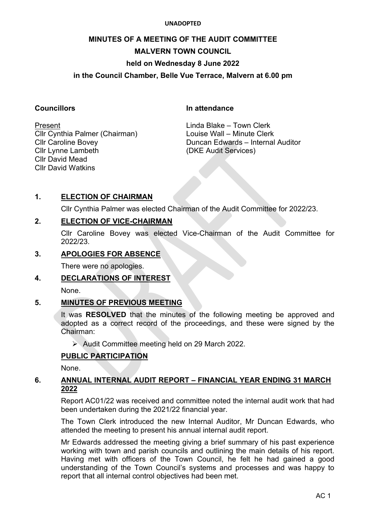#### **UNADOPTED**

# **MINUTES OF A MEETING OF THE AUDIT COMMITTEE MALVERN TOWN COUNCIL held on Wednesday 8 June 2022**

## **in the Council Chamber, Belle Vue Terrace, Malvern at 6.00 pm**

**Councillors In attendance**

Cllr Cynthia Palmer (Chairman) Louise Wall – Minute Clerk Cllr Lynne Lambeth (DKE Audit Services) Cllr David Mead Cllr David Watkins

Present **Example 2018** Linda Blake – Town Clerk Cllr Caroline Bovey Duncan Edwards – Internal Auditor

# **1. ELECTION OF CHAIRMAN**

Cllr Cynthia Palmer was elected Chairman of the Audit Committee for 2022/23.

## **2. ELECTION OF VICE-CHAIRMAN**

Cllr Caroline Bovey was elected Vice-Chairman of the Audit Committee for 2022/23.

## **3. APOLOGIES FOR ABSENCE**

There were no apologies.

## **4. DECLARATIONS OF INTEREST**

None.

## **5. MINUTES OF PREVIOUS MEETING**

It was **RESOLVED** that the minutes of the following meeting be approved and adopted as a correct record of the proceedings, and these were signed by the Chairman:

Audit Committee meeting held on 29 March 2022.

## **PUBLIC PARTICIPATION**

None.

## **6. ANNUAL INTERNAL AUDIT REPORT – FINANCIAL YEAR ENDING 31 MARCH 2022**

Report AC01/22 was received and committee noted the internal audit work that had been undertaken during the 2021/22 financial year.

The Town Clerk introduced the new Internal Auditor, Mr Duncan Edwards, who attended the meeting to present his annual internal audit report.

Mr Edwards addressed the meeting giving a brief summary of his past experience working with town and parish councils and outlining the main details of his report. Having met with officers of the Town Council, he felt he had gained a good understanding of the Town Council's systems and processes and was happy to report that all internal control objectives had been met.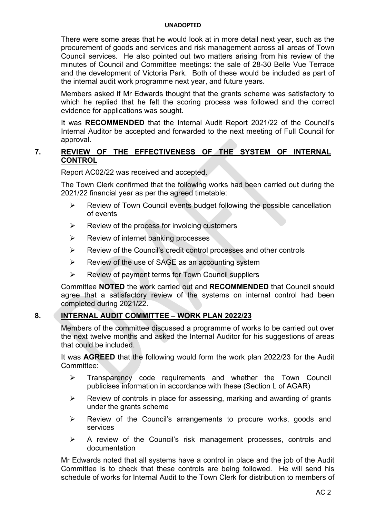#### **UNADOPTED**

There were some areas that he would look at in more detail next year, such as the procurement of goods and services and risk management across all areas of Town Council services. He also pointed out two matters arising from his review of the minutes of Council and Committee meetings: the sale of 28-30 Belle Vue Terrace and the development of Victoria Park. Both of these would be included as part of the internal audit work programme next year, and future years.

Members asked if Mr Edwards thought that the grants scheme was satisfactory to which he replied that he felt the scoring process was followed and the correct evidence for applications was sought.

It was **RECOMMENDED** that the Internal Audit Report 2021/22 of the Council's Internal Auditor be accepted and forwarded to the next meeting of Full Council for approval.

#### **7. REVIEW OF THE EFFECTIVENESS OF THE SYSTEM OF INTERNAL CONTROL**

Report AC02/22 was received and accepted.

The Town Clerk confirmed that the following works had been carried out during the 2021/22 financial year as per the agreed timetable:

- $\triangleright$  Review of Town Council events budget following the possible cancellation of events
- $\triangleright$  Review of the process for invoicing customers
- $\triangleright$  Review of internet banking processes
- $\triangleright$  Review of the Council's credit control processes and other controls
- $\triangleright$  Review of the use of SAGE as an accounting system
- $\triangleright$  Review of payment terms for Town Council suppliers

Committee **NOTED** the work carried out and **RECOMMENDED** that Council should agree that a satisfactory review of the systems on internal control had been completed during 2021/22.

#### **8. INTERNAL AUDIT COMMITTEE – WORK PLAN 2022/23**

Members of the committee discussed a programme of works to be carried out over the next twelve months and asked the Internal Auditor for his suggestions of areas that could be included.

It was **AGREED** that the following would form the work plan 2022/23 for the Audit Committee:

- $\triangleright$  Transparency code requirements and whether the Town Council publicises information in accordance with these (Section L of AGAR)
- $\triangleright$  Review of controls in place for assessing, marking and awarding of grants under the grants scheme
- Review of the Council's arrangements to procure works, goods and services
- $\triangleright$  A review of the Council's risk management processes, controls and documentation

Mr Edwards noted that all systems have a control in place and the job of the Audit Committee is to check that these controls are being followed. He will send his schedule of works for Internal Audit to the Town Clerk for distribution to members of